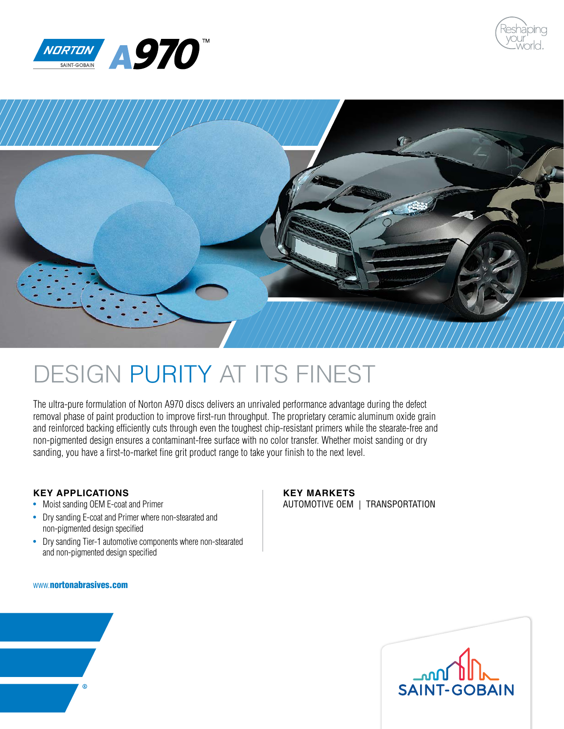





# DESIGN PURITY AT ITS FINEST

The ultra-pure formulation of Norton A970 discs delivers an unrivaled performance advantage during the defect removal phase of paint production to improve first-run throughput. The proprietary ceramic aluminum oxide grain and reinforced backing efficiently cuts through even the toughest chip-resistant primers while the stearate-free and non-pigmented design ensures a contaminant-free surface with no color transfer. Whether moist sanding or dry sanding, you have a first-to-market fine grit product range to take your finish to the next level.

# **KEY APPLICATIONS**

- Moist sanding OEM E-coat and Primer
- Dry sanding E-coat and Primer where non-stearated and non-pigmented design specified
- Dry sanding Tier-1 automotive components where non-stearated and non-pigmented design specified

## www.nortonabrasives.com

# **KEY MARKETS**

AUTOMOTIVE OEM | TRANSPORTATION